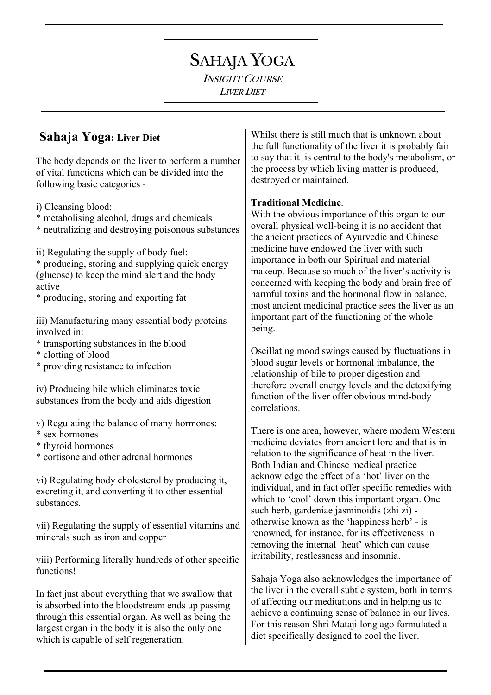# SAHAJA YOGA

INSIGHT COURSE LIVER DIET

## **Sahaja Yoga: Liver Diet**

The body depends on the liver to perform a number of vital functions which can be divided into the following basic categories -

i) Cleansing blood:

- \* metabolising alcohol, drugs and chemicals
- \* neutralizing and destroying poisonous substances

ii) Regulating the supply of body fuel: \* producing, storing and supplying quick energy (glucose) to keep the mind alert and the body active

\* producing, storing and exporting fat

iii) Manufacturing many essential body proteins involved in:

- \* transporting substances in the blood
- \* clotting of blood
- \* providing resistance to infection

iv) Producing bile which eliminates toxic substances from the body and aids digestion

v) Regulating the balance of many hormones:

- \* sex hormones
- \* thyroid hormones
- \* cortisone and other adrenal hormones

vi) Regulating body cholesterol by producing it, excreting it, and converting it to other essential substances.

vii) Regulating the supply of essential vitamins and minerals such as iron and copper

viii) Performing literally hundreds of other specific functions!

In fact just about everything that we swallow that is absorbed into the bloodstream ends up passing through this essential organ. As well as being the largest organ in the body it is also the only one which is capable of self regeneration.

Whilst there is still much that is unknown about the full functionality of the liver it is probably fair to say that it is central to the body's metabolism, or the process by which living matter is produced, destroyed or maintained.

#### **Traditional Medicine**.

With the obvious importance of this organ to our overall physical well-being it is no accident that the ancient practices of Ayurvedic and Chinese medicine have endowed the liver with such importance in both our Spiritual and material makeup. Because so much of the liver's activity is concerned with keeping the body and brain free of harmful toxins and the hormonal flow in balance, most ancient medicinal practice sees the liver as an important part of the functioning of the whole being.

Oscillating mood swings caused by fluctuations in blood sugar levels or hormonal imbalance, the relationship of bile to proper digestion and therefore overall energy levels and the detoxifying function of the liver offer obvious mind-body correlations.

There is one area, however, where modern Western medicine deviates from ancient lore and that is in relation to the significance of heat in the liver. Both Indian and Chinese medical practice acknowledge the effect of a 'hot' liver on the individual, and in fact offer specific remedies with which to 'cool' down this important organ. One such herb, gardeniae jasminoidis (zhi zi) otherwise known as the 'happiness herb' - is renowned, for instance, for its effectiveness in removing the internal 'heat' which can cause irritability, restlessness and insomnia.

Sahaja Yoga also acknowledges the importance of the liver in the overall subtle system, both in terms of affecting our meditations and in helping us to achieve a continuing sense of balance in our lives. For this reason Shri Mataji long ago formulated a diet specifically designed to cool the liver.